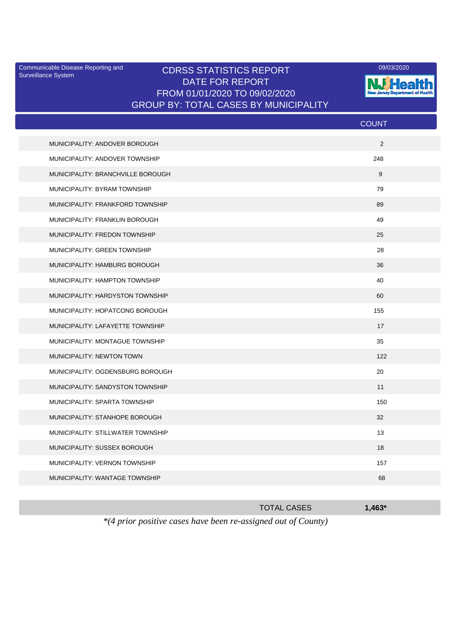Surveillance System

## Communicable Disease Reporting and CDRSS STATISTICS REPORT 09/03/2020<br>Surveillance System CDRSS STATISTICS REPORT DATE FOR REPORT FROM 01/01/2020 TO 09/02/2020 GROUP BY: TOTAL CASES BY MUNICIPALITY



|                                       | <b>COUNT</b> |
|---------------------------------------|--------------|
| MUNICIPALITY: ANDOVER BOROUGH         | 2            |
| MUNICIPALITY: ANDOVER TOWNSHIP        | 248          |
| MUNICIPALITY: BRANCHVILLE BOROUGH     | 9            |
| MUNICIPALITY: BYRAM TOWNSHIP          | 79           |
| MUNICIPALITY: FRANKFORD TOWNSHIP      | 89           |
| <b>MUNICIPALITY: FRANKLIN BOROUGH</b> | 49           |
| MUNICIPALITY: FREDON TOWNSHIP         | 25           |
| <b>MUNICIPALITY: GREEN TOWNSHIP</b>   | 28           |
| MUNICIPALITY: HAMBURG BOROUGH         | 36           |
| MUNICIPALITY: HAMPTON TOWNSHIP        | 40           |
| MUNICIPALITY: HARDYSTON TOWNSHIP      | 60           |
| MUNICIPALITY: HOPATCONG BOROUGH       | 155          |
| MUNICIPALITY: LAFAYETTE TOWNSHIP      | 17           |
| MUNICIPALITY: MONTAGUE TOWNSHIP       | 35           |
| MUNICIPALITY: NEWTON TOWN             | 122          |
| MUNICIPALITY: OGDENSBURG BOROUGH      | 20           |
| MUNICIPALITY: SANDYSTON TOWNSHIP      | 11           |
| MUNICIPALITY: SPARTA TOWNSHIP         | 150          |
| MUNICIPALITY: STANHOPE BOROUGH        | 32           |
| MUNICIPALITY: STILLWATER TOWNSHIP     | 13           |
| MUNICIPALITY: SUSSEX BOROUGH          | 18           |
| MUNICIPALITY: VERNON TOWNSHIP         | 157          |
| MUNICIPALITY: WANTAGE TOWNSHIP        | 68           |
|                                       |              |

|                                                               | <b>TOTAL CASES</b> | $1.463*$ |
|---------------------------------------------------------------|--------------------|----------|
| *(4 prior positive cases have been re-assigned out of County) |                    |          |